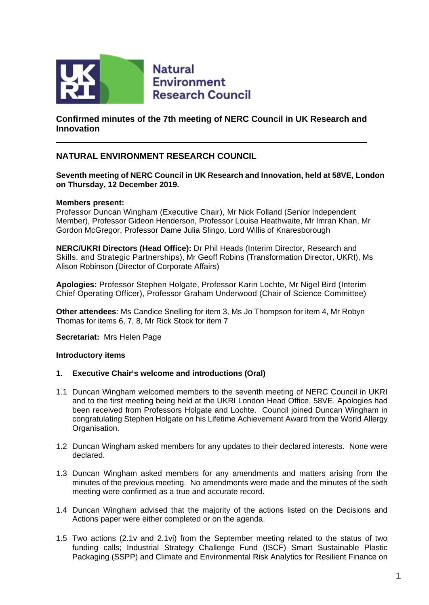

**Natural Environment Research Council** 

## **Confirmed minutes of the 7th meeting of NERC Council in UK Research and Innovation**

# **NATURAL ENVIRONMENT RESEARCH COUNCIL**

#### **Seventh meeting of NERC Council in UK Research and Innovation, held at 58VE, London on Thursday, 12 December 2019.**

#### **Members present:**

Professor Duncan Wingham (Executive Chair), Mr Nick Folland (Senior Independent Member), Professor Gideon Henderson, Professor Louise Heathwaite, Mr Imran Khan, Mr Gordon McGregor, Professor Dame Julia Slingo, Lord Willis of Knaresborough

**NERC/UKRI Directors (Head Office):** Dr Phil Heads (Interim Director, Research and Skills, and Strategic Partnerships), Mr Geoff Robins (Transformation Director, UKRI), Ms Alison Robinson (Director of Corporate Affairs)

**Apologies:** Professor Stephen Holgate, Professor Karin Lochte, Mr Nigel Bird (Interim Chief Operating Officer), Professor Graham Underwood (Chair of Science Committee)

**Other attendees**: Ms Candice Snelling for item 3, Ms Jo Thompson for item 4, Mr Robyn Thomas for items 6, 7, 8, Mr Rick Stock for item 7

**Secretariat:** Mrs Helen Page

#### **Introductory items**

#### **1. Executive Chair's welcome and introductions (Oral)**

- 1.1 Duncan Wingham welcomed members to the seventh meeting of NERC Council in UKRI and to the first meeting being held at the UKRI London Head Office, 58VE. Apologies had been received from Professors Holgate and Lochte. Council joined Duncan Wingham in congratulating Stephen Holgate on his Lifetime Achievement Award from the World Allergy Organisation.
- 1.2 Duncan Wingham asked members for any updates to their declared interests. None were declared.
- 1.3 Duncan Wingham asked members for any amendments and matters arising from the minutes of the previous meeting. No amendments were made and the minutes of the sixth meeting were confirmed as a true and accurate record.
- 1.4 Duncan Wingham advised that the majority of the actions listed on the Decisions and Actions paper were either completed or on the agenda.
- 1.5 Two actions (2.1v and 2.1vi) from the September meeting related to the status of two funding calls; Industrial Strategy Challenge Fund (ISCF) Smart Sustainable Plastic Packaging (SSPP) and Climate and Environmental Risk Analytics for Resilient Finance on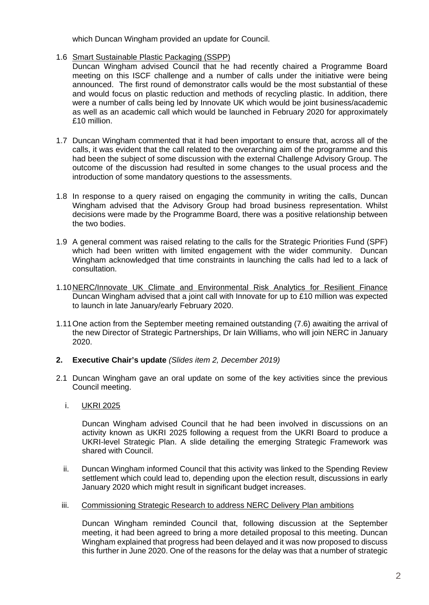which Duncan Wingham provided an update for Council.

## 1.6 Smart Sustainable Plastic Packaging (SSPP)

- Duncan Wingham advised Council that he had recently chaired a Programme Board meeting on this ISCF challenge and a number of calls under the initiative were being announced. The first round of demonstrator calls would be the most substantial of these and would focus on plastic reduction and methods of recycling plastic. In addition, there were a number of calls being led by Innovate UK which would be joint business/academic as well as an academic call which would be launched in February 2020 for approximately £10 million.
- 1.7 Duncan Wingham commented that it had been important to ensure that, across all of the calls, it was evident that the call related to the overarching aim of the programme and this had been the subject of some discussion with the external Challenge Advisory Group. The outcome of the discussion had resulted in some changes to the usual process and the introduction of some mandatory questions to the assessments.
- 1.8 In response to a query raised on engaging the community in writing the calls, Duncan Wingham advised that the Advisory Group had broad business representation. Whilst decisions were made by the Programme Board, there was a positive relationship between the two bodies.
- 1.9 A general comment was raised relating to the calls for the Strategic Priorities Fund (SPF) which had been written with limited engagement with the wider community. Duncan Wingham acknowledged that time constraints in launching the calls had led to a lack of consultation.
- 1.10NERC/Innovate UK Climate and Environmental Risk Analytics for Resilient Finance Duncan Wingham advised that a joint call with Innovate for up to £10 million was expected to launch in late January/early February 2020.
- 1.11One action from the September meeting remained outstanding (7.6) awaiting the arrival of the new Director of Strategic Partnerships, Dr Iain Williams, who will join NERC in January 2020.

## **2. Executive Chair's update** *(Slides item 2, December 2019)*

- 2.1 Duncan Wingham gave an oral update on some of the key activities since the previous Council meeting.
	- i. UKRI 2025

Duncan Wingham advised Council that he had been involved in discussions on an activity known as UKRI 2025 following a request from the UKRI Board to produce a UKRI-level Strategic Plan. A slide detailing the emerging Strategic Framework was shared with Council.

- ii. Duncan Wingham informed Council that this activity was linked to the Spending Review settlement which could lead to, depending upon the election result, discussions in early January 2020 which might result in significant budget increases.
- iii. Commissioning Strategic Research to address NERC Delivery Plan ambitions

Duncan Wingham reminded Council that, following discussion at the September meeting, it had been agreed to bring a more detailed proposal to this meeting. Duncan Wingham explained that progress had been delayed and it was now proposed to discuss this further in June 2020. One of the reasons for the delay was that a number of strategic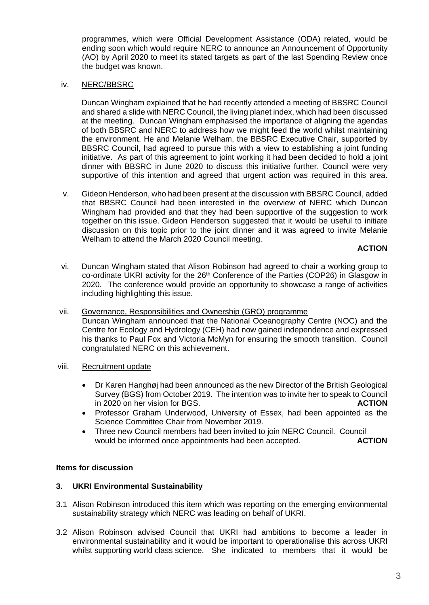programmes, which were Official Development Assistance (ODA) related, would be ending soon which would require NERC to announce an Announcement of Opportunity (AO) by April 2020 to meet its stated targets as part of the last Spending Review once the budget was known.

#### iv. NERC/BBSRC

Duncan Wingham explained that he had recently attended a meeting of BBSRC Council and shared a slide with NERC Council, the living planet index, which had been discussed at the meeting. Duncan Wingham emphasised the importance of aligning the agendas of both BBSRC and NERC to address how we might feed the world whilst maintaining the environment. He and Melanie Welham, the BBSRC Executive Chair, supported by BBSRC Council, had agreed to pursue this with a view to establishing a joint funding initiative. As part of this agreement to joint working it had been decided to hold a joint dinner with BBSRC in June 2020 to discuss this initiative further. Council were very supportive of this intention and agreed that urgent action was required in this area.

v. Gideon Henderson, who had been present at the discussion with BBSRC Council, added that BBSRC Council had been interested in the overview of NERC which Duncan Wingham had provided and that they had been supportive of the suggestion to work together on this issue. Gideon Henderson suggested that it would be useful to initiate discussion on this topic prior to the joint dinner and it was agreed to invite Melanie Welham to attend the March 2020 Council meeting.

#### **ACTION**

- vi. Duncan Wingham stated that Alison Robinson had agreed to chair a working group to co-ordinate UKRI activity for the 26<sup>th</sup> Conference of the Parties (COP26) in Glasgow in 2020. The conference would provide an opportunity to showcase a range of activities including highlighting this issue.
- vii. Governance, Responsibilities and Ownership (GRO) programme Duncan Wingham announced that the National Oceanography Centre (NOC) and the Centre for Ecology and Hydrology (CEH) had now gained independence and expressed his thanks to Paul Fox and Victoria McMyn for ensuring the smooth transition. Council congratulated NERC on this achievement.
- viii. Recruitment update
	- Dr Karen Hanghøj had been announced as the new Director of the British Geological Survey (BGS) from October 2019. The intention was to invite her to speak to Council in 2020 on her vision for BGS. **ACTION**
	- Professor Graham Underwood, University of Essex, had been appointed as the Science Committee Chair from November 2019.
	- Three new Council members had been invited to join NERC Council. Council<br>would be informed once appointments had been accepted. **ACTION** would be informed once appointments had been accepted.

## **Items for discussion**

## **3. UKRI Environmental Sustainability**

- 3.1 Alison Robinson introduced this item which was reporting on the emerging environmental sustainability strategy which NERC was leading on behalf of UKRI.
- 3.2 Alison Robinson advised Council that UKRI had ambitions to become a leader in environmental sustainability and it would be important to operationalise this across UKRI whilst supporting world class science. She indicated to members that it would be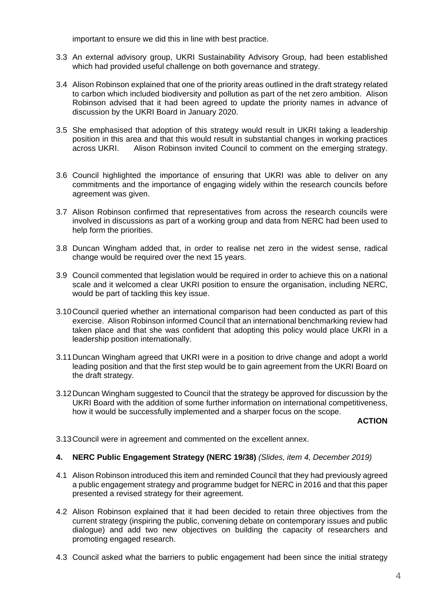important to ensure we did this in line with best practice.

- 3.3 An external advisory group, UKRI Sustainability Advisory Group, had been established which had provided useful challenge on both governance and strategy.
- 3.4 Alison Robinson explained that one of the priority areas outlined in the draft strategy related to carbon which included biodiversity and pollution as part of the net zero ambition. Alison Robinson advised that it had been agreed to update the priority names in advance of discussion by the UKRI Board in January 2020.
- 3.5 She emphasised that adoption of this strategy would result in UKRI taking a leadership position in this area and that this would result in substantial changes in working practices across UKRI. Alison Robinson invited Council to comment on the emerging strategy.
- 3.6 Council highlighted the importance of ensuring that UKRI was able to deliver on any commitments and the importance of engaging widely within the research councils before agreement was given.
- 3.7 Alison Robinson confirmed that representatives from across the research councils were involved in discussions as part of a working group and data from NERC had been used to help form the priorities.
- 3.8 Duncan Wingham added that, in order to realise net zero in the widest sense, radical change would be required over the next 15 years.
- 3.9 Council commented that legislation would be required in order to achieve this on a national scale and it welcomed a clear UKRI position to ensure the organisation, including NERC, would be part of tackling this key issue.
- 3.10Council queried whether an international comparison had been conducted as part of this exercise. Alison Robinson informed Council that an international benchmarking review had taken place and that she was confident that adopting this policy would place UKRI in a leadership position internationally.
- 3.11Duncan Wingham agreed that UKRI were in a position to drive change and adopt a world leading position and that the first step would be to gain agreement from the UKRI Board on the draft strategy.
- 3.12Duncan Wingham suggested to Council that the strategy be approved for discussion by the UKRI Board with the addition of some further information on international competitiveness, how it would be successfully implemented and a sharper focus on the scope.

**ACTION**

3.13Council were in agreement and commented on the excellent annex.

## **4. NERC Public Engagement Strategy (NERC 19/38)** *(Slides, item 4, December 2019)*

- 4.1 Alison Robinson introduced this item and reminded Council that they had previously agreed a public engagement strategy and programme budget for NERC in 2016 and that this paper presented a revised strategy for their agreement.
- 4.2 Alison Robinson explained that it had been decided to retain three objectives from the current strategy (inspiring the public, convening debate on contemporary issues and public dialogue) and add two new objectives on building the capacity of researchers and promoting engaged research.
- 4.3 Council asked what the barriers to public engagement had been since the initial strategy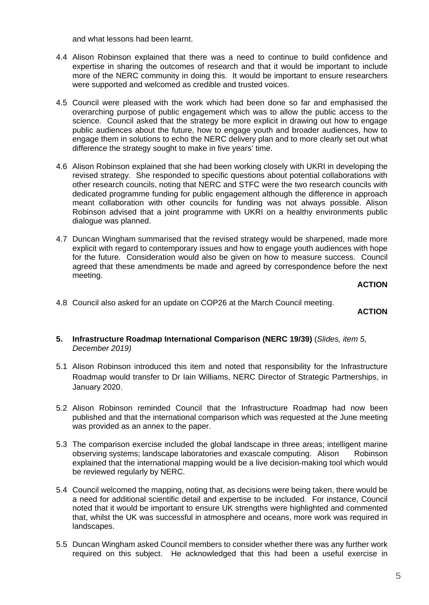and what lessons had been learnt.

- 4.4 Alison Robinson explained that there was a need to continue to build confidence and expertise in sharing the outcomes of research and that it would be important to include more of the NERC community in doing this. It would be important to ensure researchers were supported and welcomed as credible and trusted voices.
- 4.5 Council were pleased with the work which had been done so far and emphasised the overarching purpose of public engagement which was to allow the public access to the science. Council asked that the strategy be more explicit in drawing out how to engage public audiences about the future, how to engage youth and broader audiences, how to engage them in solutions to echo the NERC delivery plan and to more clearly set out what difference the strategy sought to make in five years' time.
- 4.6 Alison Robinson explained that she had been working closely with UKRI in developing the revised strategy. She responded to specific questions about potential collaborations with other research councils, noting that NERC and STFC were the two research councils with dedicated programme funding for public engagement although the difference in approach meant collaboration with other councils for funding was not always possible. Alison Robinson advised that a joint programme with UKRI on a healthy environments public dialogue was planned.
- 4.7 Duncan Wingham summarised that the revised strategy would be sharpened, made more explicit with regard to contemporary issues and how to engage youth audiences with hope for the future. Consideration would also be given on how to measure success. Council agreed that these amendments be made and agreed by correspondence before the next meeting.

#### **ACTION**

4.8 Council also asked for an update on COP26 at the March Council meeting.

## **ACTION**

- **5. Infrastructure Roadmap International Comparison (NERC 19/39)** (*Slides, item 5, December 2019)*
- 5.1 Alison Robinson introduced this item and noted that responsibility for the Infrastructure Roadmap would transfer to Dr Iain Williams, NERC Director of Strategic Partnerships, in January 2020.
- 5.2 Alison Robinson reminded Council that the Infrastructure Roadmap had now been published and that the international comparison which was requested at the June meeting was provided as an annex to the paper.
- 5.3 The comparison exercise included the global landscape in three areas; intelligent marine observing systems; landscape laboratories and exascale computing. Alison Robinson explained that the international mapping would be a live decision-making tool which would be reviewed regularly by NERC.
- 5.4 Council welcomed the mapping, noting that, as decisions were being taken, there would be a need for additional scientific detail and expertise to be included. For instance, Council noted that it would be important to ensure UK strengths were highlighted and commented that, whilst the UK was successful in atmosphere and oceans, more work was required in landscapes.
- 5.5 Duncan Wingham asked Council members to consider whether there was any further work required on this subject. He acknowledged that this had been a useful exercise in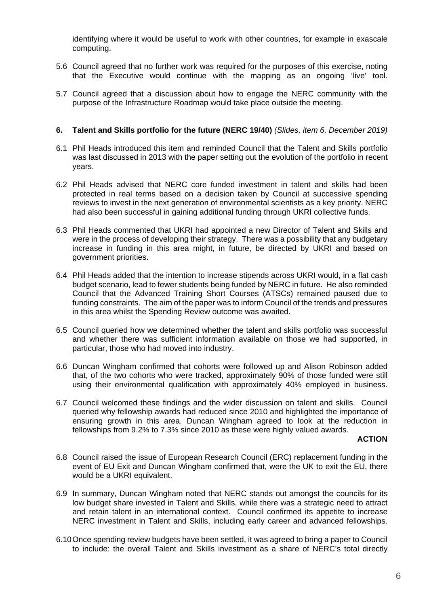identifying where it would be useful to work with other countries, for example in exascale computing.

- 5.6 Council agreed that no further work was required for the purposes of this exercise, noting that the Executive would continue with the mapping as an ongoing 'live' tool.
- 5.7 Council agreed that a discussion about how to engage the NERC community with the purpose of the Infrastructure Roadmap would take place outside the meeting.

#### **6. Talent and Skills portfolio for the future (NERC 19/40)** *(Slides, item 6, December 2019)*

- 6.1 Phil Heads introduced this item and reminded Council that the Talent and Skills portfolio was last discussed in 2013 with the paper setting out the evolution of the portfolio in recent years.
- 6.2 Phil Heads advised that NERC core funded investment in talent and skills had been protected in real terms based on a decision taken by Council at successive spending reviews to invest in the next generation of environmental scientists as a key priority. NERC had also been successful in gaining additional funding through UKRI collective funds.
- 6.3 Phil Heads commented that UKRI had appointed a new Director of Talent and Skills and were in the process of developing their strategy. There was a possibility that any budgetary increase in funding in this area might, in future, be directed by UKRI and based on government priorities.
- 6.4 Phil Heads added that the intention to increase stipends across UKRI would, in a flat cash budget scenario, lead to fewer students being funded by NERC in future. He also reminded Council that the Advanced Training Short Courses (ATSCs) remained paused due to funding constraints. The aim of the paper was to inform Council of the trends and pressures in this area whilst the Spending Review outcome was awaited.
- 6.5 Council queried how we determined whether the talent and skills portfolio was successful and whether there was sufficient information available on those we had supported, in particular, those who had moved into industry.
- 6.6 Duncan Wingham confirmed that cohorts were followed up and Alison Robinson added that, of the two cohorts who were tracked, approximately 90% of those funded were still using their environmental qualification with approximately 40% employed in business.
- 6.7 Council welcomed these findings and the wider discussion on talent and skills. Council queried why fellowship awards had reduced since 2010 and highlighted the importance of ensuring growth in this area. Duncan Wingham agreed to look at the reduction in fellowships from 9.2% to 7.3% since 2010 as these were highly valued awards.

#### **ACTION**

- 6.8 Council raised the issue of European Research Council (ERC) replacement funding in the event of EU Exit and Duncan Wingham confirmed that, were the UK to exit the EU, there would be a UKRI equivalent.
- 6.9 In summary, Duncan Wingham noted that NERC stands out amongst the councils for its low budget share invested in Talent and Skills, while there was a strategic need to attract and retain talent in an international context. Council confirmed its appetite to increase NERC investment in Talent and Skills, including early career and advanced fellowships.
- 6.10Once spending review budgets have been settled, it was agreed to bring a paper to Council to include: the overall Talent and Skills investment as a share of NERC's total directly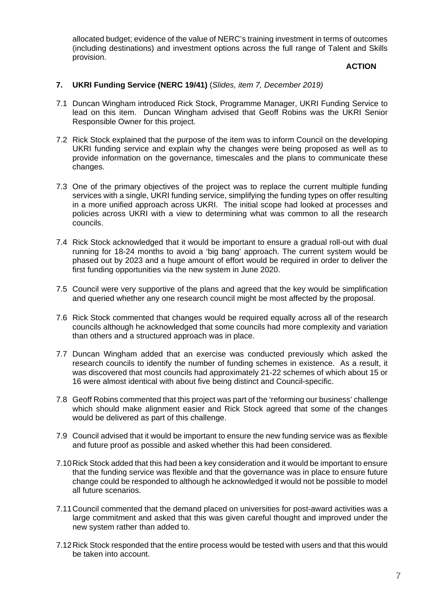allocated budget; evidence of the value of NERC's training investment in terms of outcomes (including destinations) and investment options across the full range of Talent and Skills provision.

## **ACTION**

#### **7. UKRI Funding Service (NERC 19/41)** (*Slides, item 7, December 2019)*

- 7.1 Duncan Wingham introduced Rick Stock, Programme Manager, UKRI Funding Service to lead on this item. Duncan Wingham advised that Geoff Robins was the UKRI Senior Responsible Owner for this project.
- 7.2 Rick Stock explained that the purpose of the item was to inform Council on the developing UKRI funding service and explain why the changes were being proposed as well as to provide information on the governance, timescales and the plans to communicate these changes.
- 7.3 One of the primary objectives of the project was to replace the current multiple funding services with a single, UKRI funding service, simplifying the funding types on offer resulting in a more unified approach across UKRI. The initial scope had looked at processes and policies across UKRI with a view to determining what was common to all the research councils.
- 7.4 Rick Stock acknowledged that it would be important to ensure a gradual roll-out with dual running for 18-24 months to avoid a 'big bang' approach. The current system would be phased out by 2023 and a huge amount of effort would be required in order to deliver the first funding opportunities via the new system in June 2020.
- 7.5 Council were very supportive of the plans and agreed that the key would be simplification and queried whether any one research council might be most affected by the proposal.
- 7.6 Rick Stock commented that changes would be required equally across all of the research councils although he acknowledged that some councils had more complexity and variation than others and a structured approach was in place.
- 7.7 Duncan Wingham added that an exercise was conducted previously which asked the research councils to identify the number of funding schemes in existence. As a result, it was discovered that most councils had approximately 21-22 schemes of which about 15 or 16 were almost identical with about five being distinct and Council-specific.
- 7.8 Geoff Robins commented that this project was part of the 'reforming our business' challenge which should make alignment easier and Rick Stock agreed that some of the changes would be delivered as part of this challenge.
- 7.9 Council advised that it would be important to ensure the new funding service was as flexible and future proof as possible and asked whether this had been considered.
- 7.10Rick Stock added that this had been a key consideration and it would be important to ensure that the funding service was flexible and that the governance was in place to ensure future change could be responded to although he acknowledged it would not be possible to model all future scenarios.
- 7.11Council commented that the demand placed on universities for post-award activities was a large commitment and asked that this was given careful thought and improved under the new system rather than added to.
- 7.12Rick Stock responded that the entire process would be tested with users and that this would be taken into account.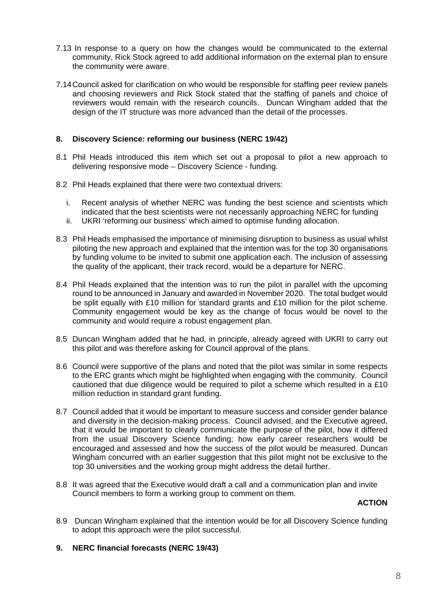- 7.13 In response to a query on how the changes would be communicated to the external community, Rick Stock agreed to add additional information on the external plan to ensure the community were aware.
- 7.14Council asked for clarification on who would be responsible for staffing peer review panels and choosing reviewers and Rick Stock stated that the staffing of panels and choice of reviewers would remain with the research councils. Duncan Wingham added that the design of the IT structure was more advanced than the detail of the processes.

## **8. Discovery Science: reforming our business (NERC 19/42)**

- 8.1 Phil Heads introduced this item which set out a proposal to pilot a new approach to delivering responsive mode – Discovery Science - funding.
- 8.2 Phil Heads explained that there were two contextual drivers:
	- i. Recent analysis of whether NERC was funding the best science and scientists which indicated that the best scientists were not necessarily approaching NERC for funding
	- ii. UKRI 'reforming our business' which aimed to optimise funding allocation.
- 8.3 Phil Heads emphasised the importance of minimising disruption to business as usual whilst piloting the new approach and explained that the intention was for the top 30 organisations by funding volume to be invited to submit one application each. The inclusion of assessing the quality of the applicant, their track record, would be a departure for NERC.
- 8.4 Phil Heads explained that the intention was to run the pilot in parallel with the upcoming round to be announced in January and awarded in November 2020. The total budget would be split equally with £10 million for standard grants and £10 million for the pilot scheme. Community engagement would be key as the change of focus would be novel to the community and would require a robust engagement plan.
- 8.5 Duncan Wingham added that he had, in principle, already agreed with UKRI to carry out this pilot and was therefore asking for Council approval of the plans.
- 8.6 Council were supportive of the plans and noted that the pilot was similar in some respects to the ERC grants which might be highlighted when engaging with the community. Council cautioned that due diligence would be required to pilot a scheme which resulted in a £10 million reduction in standard grant funding.
- 8.7 Council added that it would be important to measure success and consider gender balance and diversity in the decision-making process. Council advised, and the Executive agreed, that it would be important to clearly communicate the purpose of the pilot, how it differed from the usual Discovery Science funding; how early career researchers would be encouraged and assessed and how the success of the pilot would be measured. Duncan Wingham concurred with an earlier suggestion that this pilot might not be exclusive to the top 30 universities and the working group might address the detail further.
- 8.8 It was agreed that the Executive would draft a call and a communication plan and invite Council members to form a working group to comment on them.

## **ACTION**

- 8.9 Duncan Wingham explained that the intention would be for all Discovery Science funding to adopt this approach were the pilot successful.
- **9. NERC financial forecasts (NERC 19/43)**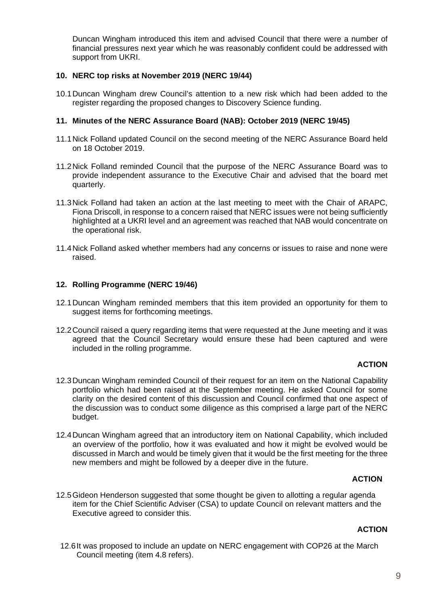Duncan Wingham introduced this item and advised Council that there were a number of financial pressures next year which he was reasonably confident could be addressed with support from UKRI.

## **10. NERC top risks at November 2019 (NERC 19/44)**

10.1Duncan Wingham drew Council's attention to a new risk which had been added to the register regarding the proposed changes to Discovery Science funding.

## **11. Minutes of the NERC Assurance Board (NAB): October 2019 (NERC 19/45)**

- 11.1Nick Folland updated Council on the second meeting of the NERC Assurance Board held on 18 October 2019.
- 11.2Nick Folland reminded Council that the purpose of the NERC Assurance Board was to provide independent assurance to the Executive Chair and advised that the board met quarterly.
- 11.3Nick Folland had taken an action at the last meeting to meet with the Chair of ARAPC, Fiona Driscoll, in response to a concern raised that NERC issues were not being sufficiently highlighted at a UKRI level and an agreement was reached that NAB would concentrate on the operational risk.
- 11.4Nick Folland asked whether members had any concerns or issues to raise and none were raised.

## **12. Rolling Programme (NERC 19/46)**

- 12.1Duncan Wingham reminded members that this item provided an opportunity for them to suggest items for forthcoming meetings.
- 12.2Council raised a query regarding items that were requested at the June meeting and it was agreed that the Council Secretary would ensure these had been captured and were included in the rolling programme.

## **ACTION**

- 12.3Duncan Wingham reminded Council of their request for an item on the National Capability portfolio which had been raised at the September meeting. He asked Council for some clarity on the desired content of this discussion and Council confirmed that one aspect of the discussion was to conduct some diligence as this comprised a large part of the NERC budget.
- 12.4Duncan Wingham agreed that an introductory item on National Capability, which included an overview of the portfolio, how it was evaluated and how it might be evolved would be discussed in March and would be timely given that it would be the first meeting for the three new members and might be followed by a deeper dive in the future.

## **ACTION**

12.5Gideon Henderson suggested that some thought be given to allotting a regular agenda item for the Chief Scientific Adviser (CSA) to update Council on relevant matters and the Executive agreed to consider this.

## **ACTION**

12.6It was proposed to include an update on NERC engagement with COP26 at the March Council meeting (item 4.8 refers).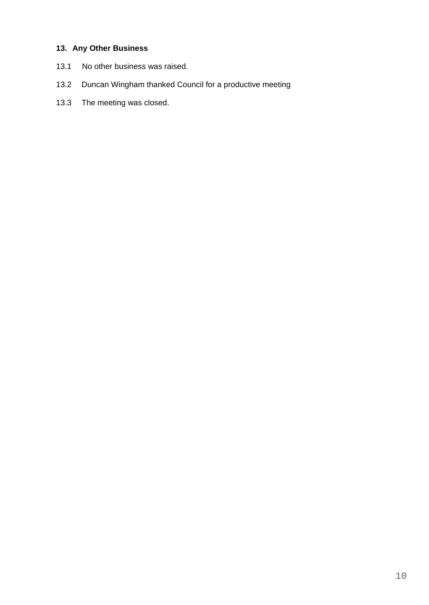# **13. Any Other Business**

- 13.1 No other business was raised.
- 13.2 Duncan Wingham thanked Council for a productive meeting
- 13.3 The meeting was closed.